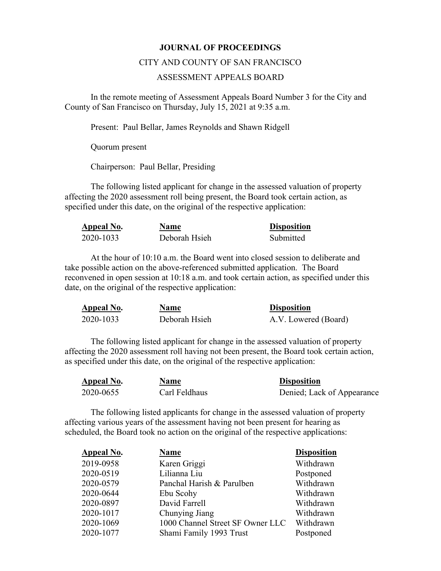## **JOURNAL OF PROCEEDINGS**

## CITY AND COUNTY OF SAN FRANCISCO

## ASSESSMENT APPEALS BOARD

 In the remote meeting of Assessment Appeals Board Number 3 for the City and County of San Francisco on Thursday, July 15, 2021 at 9:35 a.m.

Present: Paul Bellar, James Reynolds and Shawn Ridgell

Quorum present

Chairperson: Paul Bellar, Presiding

The following listed applicant for change in the assessed valuation of property affecting the 2020 assessment roll being present, the Board took certain action, as specified under this date, on the original of the respective application:

| Appeal No. | <b>Name</b>   | <b>Disposition</b> |
|------------|---------------|--------------------|
| 2020-1033  | Deborah Hsieh | Submitted          |

At the hour of 10:10 a.m. the Board went into closed session to deliberate and take possible action on the above-referenced submitted application. The Board reconvened in open session at 10:18 a.m. and took certain action, as specified under this date, on the original of the respective application:

| Appeal No. | <b>Name</b>   | <b>Disposition</b>   |
|------------|---------------|----------------------|
| 2020-1033  | Deborah Hsieh | A.V. Lowered (Board) |

The following listed applicant for change in the assessed valuation of property affecting the 2020 assessment roll having not been present, the Board took certain action, as specified under this date, on the original of the respective application:

| Appeal No. | <b>Name</b>   | <b>Disposition</b>         |
|------------|---------------|----------------------------|
| 2020-0655  | Carl Feldhaus | Denied; Lack of Appearance |

The following listed applicants for change in the assessed valuation of property affecting various years of the assessment having not been present for hearing as scheduled, the Board took no action on the original of the respective applications:

| Appeal No. | <b>Name</b>                      | <b>Disposition</b> |
|------------|----------------------------------|--------------------|
| 2019-0958  | Karen Griggi                     | Withdrawn          |
| 2020-0519  | Lilianna Liu                     | Postponed          |
| 2020-0579  | Panchal Harish & Parulben        | Withdrawn          |
| 2020-0644  | Ebu Scohy                        | Withdrawn          |
| 2020-0897  | David Farrell                    | Withdrawn          |
| 2020-1017  | Chunying Jiang                   | Withdrawn          |
| 2020-1069  | 1000 Channel Street SF Owner LLC | Withdrawn          |
| 2020-1077  | Shami Family 1993 Trust          | Postponed          |